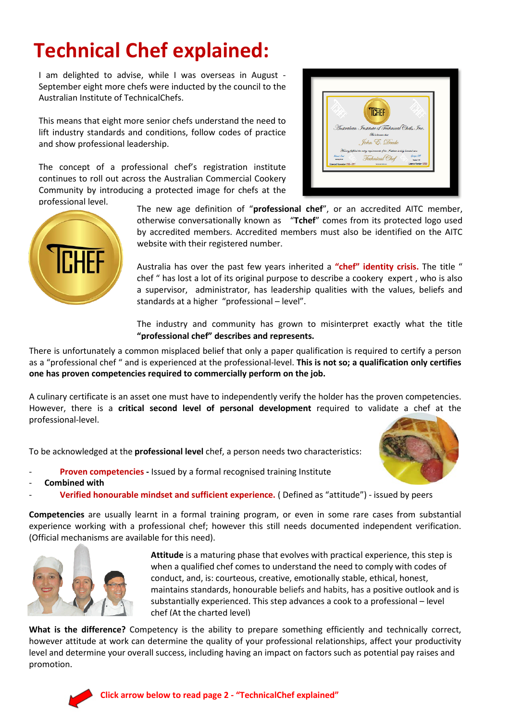## **Technical Chef explained:**

I am delighted to advise, while I was overseas in August - September eight more chefs were inducted by the council to the Australian Institute of TechnicalChefs.

This means that eight more senior chefs understand the need to lift industry standards and conditions, follow codes of practice and show professional leadership.

The concept of a professional chef's registration institute continues to roll out across the Australian Commercial Cookery Community by introducing a protected image for chefs at the





professional level. The new age definition of "**professional chef**", or an accredited AITC member, otherwise conversationally known as "**Tchef**" comes from its protected logo used by accredited members. Accredited members must also be identified on the AITC website with their registered number.

> Australia has over the past few years inherited a **"chef" identity crisis.** The title " chef " has lost a lot of its original purpose to describe a cookery expert , who is also a supervisor, administrator, has leadership qualities with the values, beliefs and standards at a higher "professional – level".

> The industry and community has grown to misinterpret exactly what the title **"professional chef" describes and represents.**

There is unfortunately a common misplaced belief that only a paper qualification is required to certify a person as a "professional chef " and is experienced at the professional-level. **This is not so; a qualification only certifies one has proven competencies required to commercially perform on the job.**

A culinary certificate is an asset one must have to independently verify the holder has the proven competencies. However, there is a **critical second level of personal development** required to validate a chef at the professional-level.

To be acknowledged at the **professional level** chef, a person needs two characteristics:

- **Proven competencies -** Issued by a formal recognised training Institute
- **Combined with**
- **Verified honourable mindset and sufficient experience.** ( Defined as "attitude") issued by peers

**Competencies** are usually learnt in a formal training program, or even in some rare cases from substantial experience working with a professional chef; however this still needs documented independent verification. (Official mechanisms are available for this need).



**Attitude** is a maturing phase that evolves with practical experience, this step is when a qualified chef comes to understand the need to comply with codes of conduct, and, is: courteous, creative, emotionally stable, ethical, honest, maintains standards, honourable beliefs and habits, has a positive outlook and is substantially experienced. This step advances a cook to a professional – level chef (At the charted level)

**What is the difference?** Competency is the ability to prepare something efficiently and technically correct, however attitude at work can determine the quality of your professional relationships, affect your productivity level and determine your overall success, including having an impact on factors such as potential pay raises and promotion.